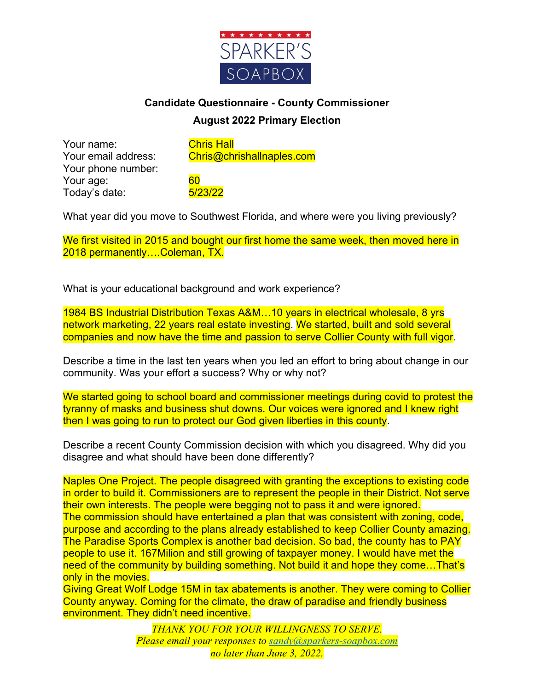

## **Candidate Questionnaire - County Commissioner August 2022 Primary Election**

Your name: Chris Hall Your phone number: Your age: 60 Today's date: 5/23/22

Your email address: Chris@chrishallnaples.com

What year did you move to Southwest Florida, and where were you living previously?

We first visited in 2015 and bought our first home the same week, then moved here in 2018 permanently….Coleman, TX.

What is your educational background and work experience?

1984 BS Industrial Distribution Texas A&M…10 years in electrical wholesale, 8 yrs network marketing, 22 years real estate investing. We started, built and sold several companies and now have the time and passion to serve Collier County with full vigor.

Describe a time in the last ten years when you led an effort to bring about change in our community. Was your effort a success? Why or why not?

We started going to school board and commissioner meetings during covid to protest the tyranny of masks and business shut downs. Our voices were ignored and I knew right then I was going to run to protect our God given liberties in this county.

Describe a recent County Commission decision with which you disagreed. Why did you disagree and what should have been done differently?

Naples One Project. The people disagreed with granting the exceptions to existing code in order to build it. Commissioners are to represent the people in their District. Not serve their own interests. The people were begging not to pass it and were ignored. The commission should have entertained a plan that was consistent with zoning, code, purpose and according to the plans already established to keep Collier County amazing. The Paradise Sports Complex is another bad decision. So bad, the county has to PAY people to use it. 167Milion and still growing of taxpayer money. I would have met the need of the community by building something. Not build it and hope they come...That's only in the movies.

Giving Great Wolf Lodge 15M in tax abatements is another. They were coming to Collier County anyway. Coming for the climate, the draw of paradise and friendly business environment. They didn't need incentive.

> *THANK YOU FOR YOUR WILLINGNESS TO SERVE. Please email your responses to sandy@sparkers-soapbox.com no later than June 3, 2022.*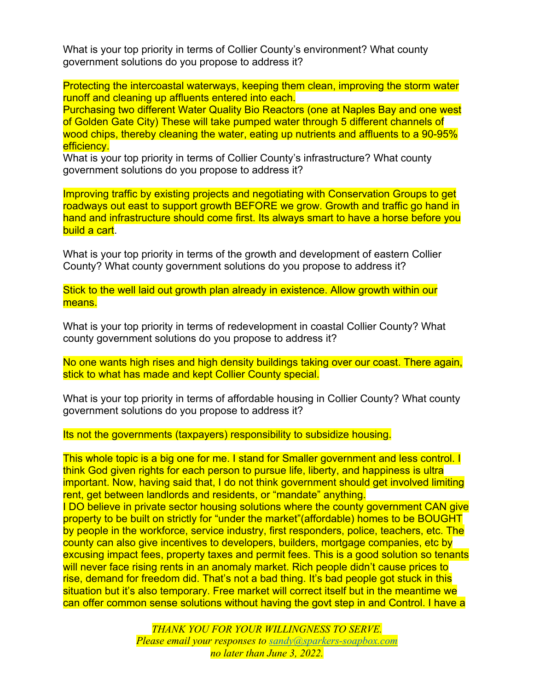What is your top priority in terms of Collier County's environment? What county government solutions do you propose to address it?

Protecting the intercoastal waterways, keeping them clean, improving the storm water runoff and cleaning up affluents entered into each.

Purchasing two different Water Quality Bio Reactors (one at Naples Bay and one west of Golden Gate City) These will take pumped water through 5 different channels of wood chips, thereby cleaning the water, eating up nutrients and affluents to a 90-95% efficiency.

What is your top priority in terms of Collier County's infrastructure? What county government solutions do you propose to address it?

Improving traffic by existing projects and negotiating with Conservation Groups to get roadways out east to support growth BEFORE we grow. Growth and traffic go hand in hand and infrastructure should come first. Its always smart to have a horse before you build a cart.

What is your top priority in terms of the growth and development of eastern Collier County? What county government solutions do you propose to address it?

Stick to the well laid out growth plan already in existence. Allow growth within our means.

What is your top priority in terms of redevelopment in coastal Collier County? What county government solutions do you propose to address it?

No one wants high rises and high density buildings taking over our coast. There again, stick to what has made and kept Collier County special.

What is your top priority in terms of affordable housing in Collier County? What county government solutions do you propose to address it?

Its not the governments (taxpayers) responsibility to subsidize housing.

This whole topic is a big one for me. I stand for Smaller government and less control. I think God given rights for each person to pursue life, liberty, and happiness is ultra important. Now, having said that, I do not think government should get involved limiting rent, get between landlords and residents, or "mandate" anything.

I DO believe in private sector housing solutions where the county government CAN give property to be built on strictly for "under the market"(affordable) homes to be BOUGHT by people in the workforce, service industry, first responders, police, teachers, etc. The county can also give incentives to developers, builders, mortgage companies, etc by excusing impact fees, property taxes and permit fees. This is a good solution so tenants will never face rising rents in an anomaly market. Rich people didn't cause prices to rise, demand for freedom did. That's not a bad thing. It's bad people got stuck in this situation but it's also temporary. Free market will correct itself but in the meantime we can offer common sense solutions without having the govt step in and Control. I have a

> *THANK YOU FOR YOUR WILLINGNESS TO SERVE. Please email your responses to sandy@sparkers-soapbox.com no later than June 3, 2022.*